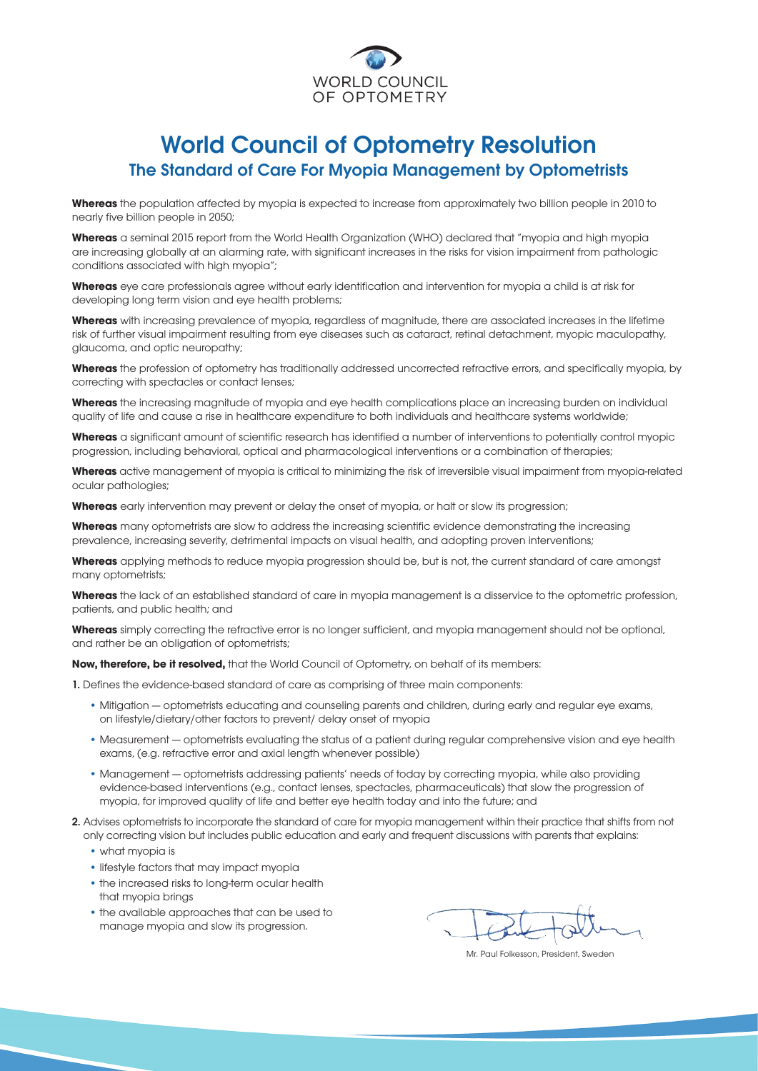

## World Council of Optometry Resolution The Standard of Care For Myopia Management by Optometrists

**Whereas** the population affected by myopia is expected to increase from approximately two billion people in 2010 to nearly five billion people in 2050;

**Whereas** a seminal 2015 report from the World Health Organization (WHO) declared that "myopia and high myopia are increasing globally at an alarming rate, with significant increases in the risks for vision impairment from pathologic conditions associated with high myopia";

**Whereas** eye care professionals agree without early identification and intervention for myopia a child is at risk for developing long term vision and eye health problems;

**Whereas** with increasing prevalence of myopia, regardless of magnitude, there are associated increases in the lifetime risk of further visual impairment resulting from eye diseases such as cataract, retinal detachment, myopic maculopathy, glaucoma, and optic neuropathy;

**Whereas** the profession of optometry has traditionally addressed uncorrected refractive errors, and specifically myopia, by correcting with spectacles or contact lenses;

**Whereas** the increasing magnitude of myopia and eye health complications place an increasing burden on individual quality of life and cause a rise in healthcare expenditure to both individuals and healthcare systems worldwide;

**Whereas** a significant amount of scientific research has identified a number of interventions to potentially control myopic progression, including behavioral, optical and pharmacological interventions or a combination of therapies;

**Whereas** active management of myopia is critical to minimizing the risk of irreversible visual impairment from myopia-related ocular pathologies;

**Whereas** early intervention may prevent or delay the onset of myopia, or halt or slow its progression;

**Whereas** many optometrists are slow to address the increasing scientific evidence demonstrating the increasing prevalence, increasing severity, detrimental impacts on visual health, and adopting proven interventions;

**Whereas** applying methods to reduce myopia progression should be, but is not, the current standard of care amongst many optometrists;

**Whereas** the lack of an established standard of care in myopia management is a disservice to the optometric profession, patients, and public health; and

**Whereas** simply correcting the refractive error is no longer sufficient, and myopia management should not be optional, and rather be an obligation of optometrists;

**Now, therefore, be it resolved,** that the World Council of Optometry, on behalf of its members:

1. Defines the evidence-based standard of care as comprising of three main components:

- Mitigation optometrists educating and counseling parents and children, during early and regular eye exams, on lifestyle/dietary/other factors to prevent/ delay onset of myopia
- Measurement optometrists evaluating the status of a patient during regular comprehensive vision and eye health exams, (e.g. refractive error and axial length whenever possible)
- Management optometrists addressing patients' needs of today by correcting myopia, while also providing evidence-based interventions (e.g., contact lenses, spectacles, pharmaceuticals) that slow the progression of myopia, for improved quality of life and better eye health today and into the future; and
- 2. Advises optometrists to incorporate the standard of care for myopia management within their practice that shifts from not only correcting vision but includes public education and early and frequent discussions with parents that explains:
	- what myopia is
	- lifestyle factors that may impact myopia
	- the increased risks to long-term ocular health that myopia brings
	- the available approaches that can be used to manage myopia and slow its progression.

Mr. Paul Folkesson, President, Sweden